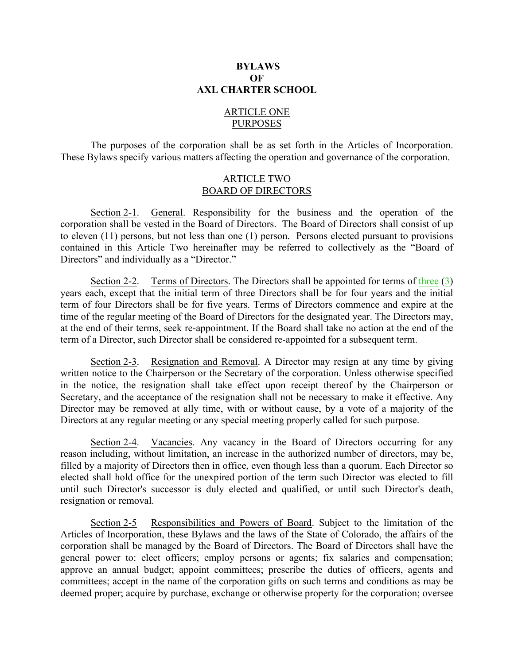## **BYLAWS OF AXL CHARTER SCHOOL**

# ARTICLE ONE PURPOSES

The purposes of the corporation shall be as set forth in the Articles of Incorporation. These Bylaws specify various matters affecting the operation and governance of the corporation.

## ARTICLE TWO BOARD OF DIRECTORS

Section 2-1. General. Responsibility for the business and the operation of the corporation shall be vested in the Board of Directors. The Board of Directors shall consist of up to eleven (11) persons, but not less than one (1) person. Persons elected pursuant to provisions contained in this Article Two hereinafter may be referred to collectively as the "Board of Directors" and individually as a "Director."

Section 2-2. Terms of Directors. The Directors shall be appointed for terms of three (3) years each, except that the initial term of three Directors shall be for four years and the initial term of four Directors shall be for five years. Terms of Directors commence and expire at the time of the regular meeting of the Board of Directors for the designated year. The Directors may, at the end of their terms, seek re-appointment. If the Board shall take no action at the end of the term of a Director, such Director shall be considered re-appointed for a subsequent term.

Section 2-3. Resignation and Removal. A Director may resign at any time by giving written notice to the Chairperson or the Secretary of the corporation. Unless otherwise specified in the notice, the resignation shall take effect upon receipt thereof by the Chairperson or Secretary, and the acceptance of the resignation shall not be necessary to make it effective. Any Director may be removed at ally time, with or without cause, by a vote of a majority of the Directors at any regular meeting or any special meeting properly called for such purpose.

Section 2-4. Vacancies. Any vacancy in the Board of Directors occurring for any reason including, without limitation, an increase in the authorized number of directors, may be, filled by a majority of Directors then in office, even though less than a quorum. Each Director so elected shall hold office for the unexpired portion of the term such Director was elected to fill until such Director's successor is duly elected and qualified, or until such Director's death, resignation or removal.

Section 2-5 Responsibilities and Powers of Board. Subject to the limitation of the Articles of Incorporation, these Bylaws and the laws of the State of Colorado, the affairs of the corporation shall be managed by the Board of Directors. The Board of Directors shall have the general power to: elect officers; employ persons or agents; fix salaries and compensation; approve an annual budget; appoint committees; prescribe the duties of officers, agents and committees; accept in the name of the corporation gifts on such terms and conditions as may be deemed proper; acquire by purchase, exchange or otherwise property for the corporation; oversee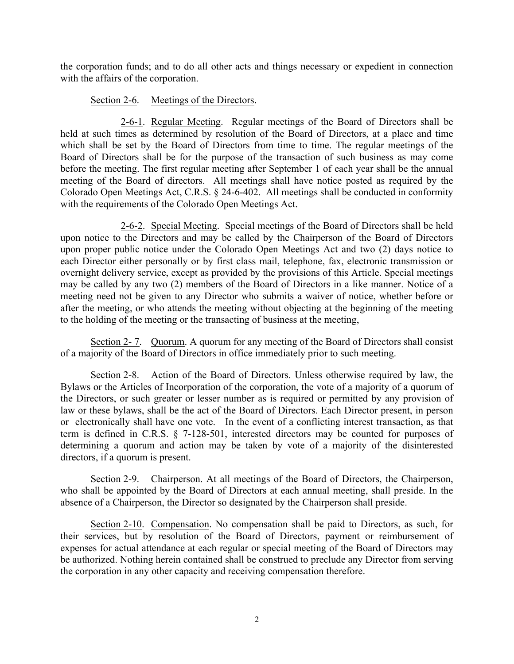the corporation funds; and to do all other acts and things necessary or expedient in connection with the affairs of the corporation.

# Section 2-6. Meetings of the Directors.

2-6-1. Regular Meeting. Regular meetings of the Board of Directors shall be held at such times as determined by resolution of the Board of Directors, at a place and time which shall be set by the Board of Directors from time to time. The regular meetings of the Board of Directors shall be for the purpose of the transaction of such business as may come before the meeting. The first regular meeting after September 1 of each year shall be the annual meeting of the Board of directors. All meetings shall have notice posted as required by the Colorado Open Meetings Act, C.R.S. § 24-6-402. All meetings shall be conducted in conformity with the requirements of the Colorado Open Meetings Act.

2-6-2. Special Meeting. Special meetings of the Board of Directors shall be held upon notice to the Directors and may be called by the Chairperson of the Board of Directors upon proper public notice under the Colorado Open Meetings Act and two (2) days notice to each Director either personally or by first class mail, telephone, fax, electronic transmission or overnight delivery service, except as provided by the provisions of this Article. Special meetings may be called by any two (2) members of the Board of Directors in a like manner. Notice of a meeting need not be given to any Director who submits a waiver of notice, whether before or after the meeting, or who attends the meeting without objecting at the beginning of the meeting to the holding of the meeting or the transacting of business at the meeting,

Section 2- 7. Quorum. A quorum for any meeting of the Board of Directors shall consist of a majority of the Board of Directors in office immediately prior to such meeting.

Section 2-8. Action of the Board of Directors. Unless otherwise required by law, the Bylaws or the Articles of Incorporation of the corporation, the vote of a majority of a quorum of the Directors, or such greater or lesser number as is required or permitted by any provision of law or these bylaws, shall be the act of the Board of Directors. Each Director present, in person or electronically shall have one vote. In the event of a conflicting interest transaction, as that term is defined in C.R.S. § 7-128-501, interested directors may be counted for purposes of determining a quorum and action may be taken by vote of a majority of the disinterested directors, if a quorum is present.

Section 2-9. Chairperson. At all meetings of the Board of Directors, the Chairperson, who shall be appointed by the Board of Directors at each annual meeting, shall preside. In the absence of a Chairperson, the Director so designated by the Chairperson shall preside.

Section 2-10. Compensation. No compensation shall be paid to Directors, as such, for their services, but by resolution of the Board of Directors, payment or reimbursement of expenses for actual attendance at each regular or special meeting of the Board of Directors may be authorized. Nothing herein contained shall be construed to preclude any Director from serving the corporation in any other capacity and receiving compensation therefore.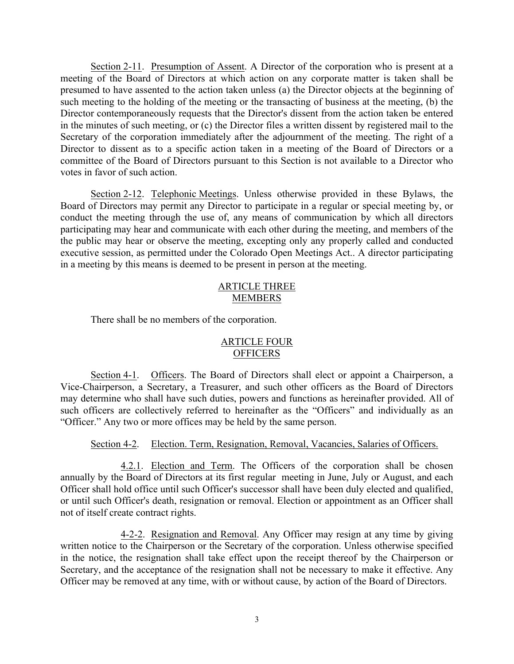Section 2-11. Presumption of Assent. A Director of the corporation who is present at a meeting of the Board of Directors at which action on any corporate matter is taken shall be presumed to have assented to the action taken unless (a) the Director objects at the beginning of such meeting to the holding of the meeting or the transacting of business at the meeting, (b) the Director contemporaneously requests that the Director's dissent from the action taken be entered in the minutes of such meeting, or (c) the Director files a written dissent by registered mail to the Secretary of the corporation immediately after the adjournment of the meeting. The right of a Director to dissent as to a specific action taken in a meeting of the Board of Directors or a committee of the Board of Directors pursuant to this Section is not available to a Director who votes in favor of such action.

Section 2-12. Telephonic Meetings. Unless otherwise provided in these Bylaws, the Board of Directors may permit any Director to participate in a regular or special meeting by, or conduct the meeting through the use of, any means of communication by which all directors participating may hear and communicate with each other during the meeting, and members of the the public may hear or observe the meeting, excepting only any properly called and conducted executive session, as permitted under the Colorado Open Meetings Act.. A director participating in a meeting by this means is deemed to be present in person at the meeting.

# ARTICLE THREE MEMBERS

There shall be no members of the corporation.

# ARTICLE FOUR **OFFICERS**

Section 4-1. Officers. The Board of Directors shall elect or appoint a Chairperson, a Vice-Chairperson, a Secretary, a Treasurer, and such other officers as the Board of Directors may determine who shall have such duties, powers and functions as hereinafter provided. All of such officers are collectively referred to hereinafter as the "Officers" and individually as an "Officer." Any two or more offices may be held by the same person.

## Section 4-2. Election. Term, Resignation, Removal, Vacancies, Salaries of Officers.

4.2.1. Election and Term. The Officers of the corporation shall be chosen annually by the Board of Directors at its first regular meeting in June, July or August, and each Officer shall hold office until such Officer's successor shall have been duly elected and qualified, or until such Officer's death, resignation or removal. Election or appointment as an Officer shall not of itself create contract rights.

4-2-2. Resignation and Removal. Any Officer may resign at any time by giving written notice to the Chairperson or the Secretary of the corporation. Unless otherwise specified in the notice, the resignation shall take effect upon the receipt thereof by the Chairperson or Secretary, and the acceptance of the resignation shall not be necessary to make it effective. Any Officer may be removed at any time, with or without cause, by action of the Board of Directors.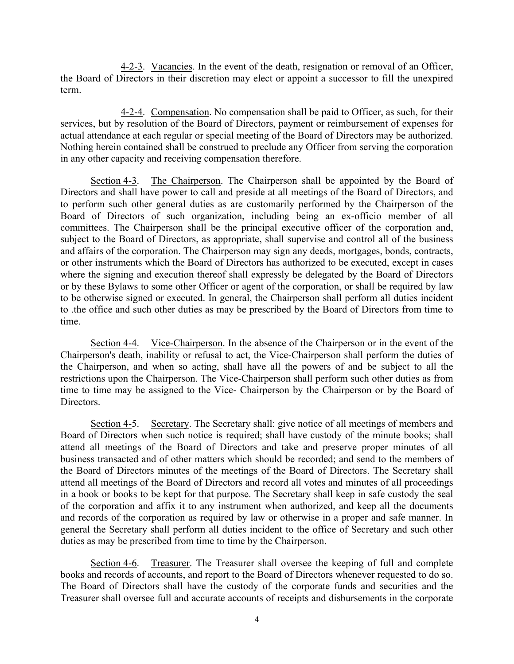4-2-3. Vacancies. In the event of the death, resignation or removal of an Officer, the Board of Directors in their discretion may elect or appoint a successor to fill the unexpired term.

4-2-4. Compensation. No compensation shall be paid to Officer, as such, for their services, but by resolution of the Board of Directors, payment or reimbursement of expenses for actual attendance at each regular or special meeting of the Board of Directors may be authorized. Nothing herein contained shall be construed to preclude any Officer from serving the corporation in any other capacity and receiving compensation therefore.

Section 4-3. The Chairperson. The Chairperson shall be appointed by the Board of Directors and shall have power to call and preside at all meetings of the Board of Directors, and to perform such other general duties as are customarily performed by the Chairperson of the Board of Directors of such organization, including being an ex-officio member of all committees. The Chairperson shall be the principal executive officer of the corporation and, subject to the Board of Directors, as appropriate, shall supervise and control all of the business and affairs of the corporation. The Chairperson may sign any deeds, mortgages, bonds, contracts, or other instruments which the Board of Directors has authorized to be executed, except in cases where the signing and execution thereof shall expressly be delegated by the Board of Directors or by these Bylaws to some other Officer or agent of the corporation, or shall be required by law to be otherwise signed or executed. In general, the Chairperson shall perform all duties incident to .the office and such other duties as may be prescribed by the Board of Directors from time to time.

Section 4-4. Vice-Chairperson. In the absence of the Chairperson or in the event of the Chairperson's death, inability or refusal to act, the Vice-Chairperson shall perform the duties of the Chairperson, and when so acting, shall have all the powers of and be subject to all the restrictions upon the Chairperson. The Vice-Chairperson shall perform such other duties as from time to time may be assigned to the Vice- Chairperson by the Chairperson or by the Board of Directors.

Section 4-5. Secretary. The Secretary shall: give notice of all meetings of members and Board of Directors when such notice is required; shall have custody of the minute books; shall attend all meetings of the Board of Directors and take and preserve proper minutes of all business transacted and of other matters which should be recorded; and send to the members of the Board of Directors minutes of the meetings of the Board of Directors. The Secretary shall attend all meetings of the Board of Directors and record all votes and minutes of all proceedings in a book or books to be kept for that purpose. The Secretary shall keep in safe custody the seal of the corporation and affix it to any instrument when authorized, and keep all the documents and records of the corporation as required by law or otherwise in a proper and safe manner. In general the Secretary shall perform all duties incident to the office of Secretary and such other duties as may be prescribed from time to time by the Chairperson.

Section 4-6. Treasurer. The Treasurer shall oversee the keeping of full and complete books and records of accounts, and report to the Board of Directors whenever requested to do so. The Board of Directors shall have the custody of the corporate funds and securities and the Treasurer shall oversee full and accurate accounts of receipts and disbursements in the corporate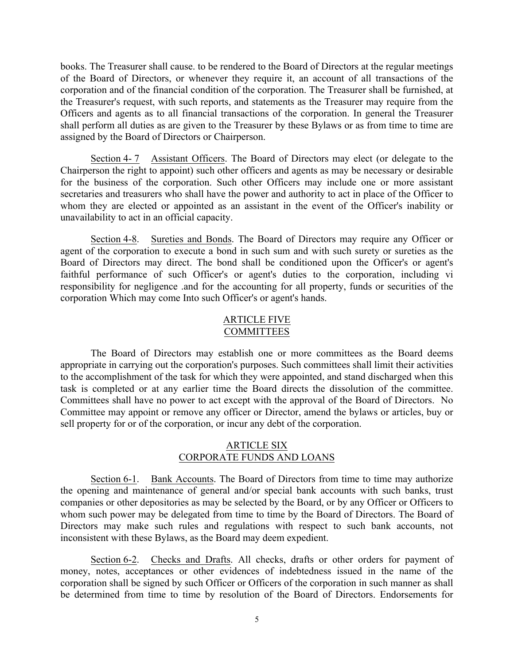books. The Treasurer shall cause. to be rendered to the Board of Directors at the regular meetings of the Board of Directors, or whenever they require it, an account of all transactions of the corporation and of the financial condition of the corporation. The Treasurer shall be furnished, at the Treasurer's request, with such reports, and statements as the Treasurer may require from the Officers and agents as to all financial transactions of the corporation. In general the Treasurer shall perform all duties as are given to the Treasurer by these Bylaws or as from time to time are assigned by the Board of Directors or Chairperson.

Section 4-7 Assistant Officers. The Board of Directors may elect (or delegate to the Chairperson the right to appoint) such other officers and agents as may be necessary or desirable for the business of the corporation. Such other Officers may include one or more assistant secretaries and treasurers who shall have the power and authority to act in place of the Officer to whom they are elected or appointed as an assistant in the event of the Officer's inability or unavailability to act in an official capacity.

Section 4-8. Sureties and Bonds. The Board of Directors may require any Officer or agent of the corporation to execute a bond in such sum and with such surety or sureties as the Board of Directors may direct. The bond shall be conditioned upon the Officer's or agent's faithful performance of such Officer's or agent's duties to the corporation, including vi responsibility for negligence .and for the accounting for all property, funds or securities of the corporation Which may come Into such Officer's or agent's hands.

#### ARTICLE FIVE COMMITTEES

The Board of Directors may establish one or more committees as the Board deems appropriate in carrying out the corporation's purposes. Such committees shall limit their activities to the accomplishment of the task for which they were appointed, and stand discharged when this task is completed or at any earlier time the Board directs the dissolution of the committee. Committees shall have no power to act except with the approval of the Board of Directors. No Committee may appoint or remove any officer or Director, amend the bylaws or articles, buy or sell property for or of the corporation, or incur any debt of the corporation.

## ARTICLE SIX CORPORATE FUNDS AND LOANS

Section 6-1. Bank Accounts. The Board of Directors from time to time may authorize the opening and maintenance of general and/or special bank accounts with such banks, trust companies or other depositories as may be selected by the Board, or by any Officer or Officers to whom such power may be delegated from time to time by the Board of Directors. The Board of Directors may make such rules and regulations with respect to such bank accounts, not inconsistent with these Bylaws, as the Board may deem expedient.

Section 6-2. Checks and Drafts. All checks, drafts or other orders for payment of money, notes, acceptances or other evidences of indebtedness issued in the name of the corporation shall be signed by such Officer or Officers of the corporation in such manner as shall be determined from time to time by resolution of the Board of Directors. Endorsements for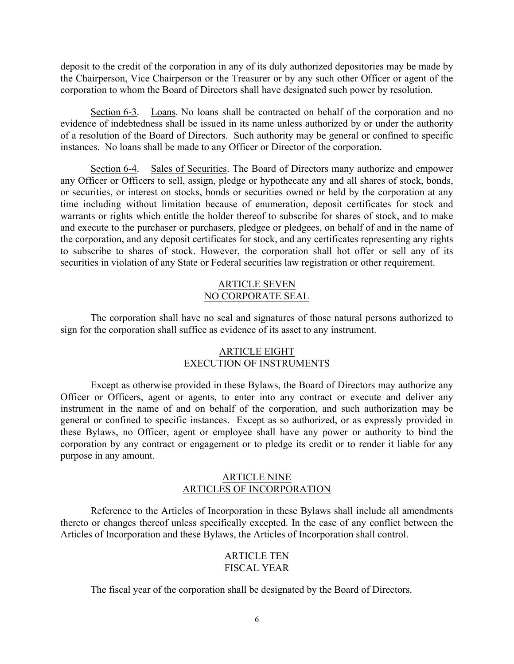deposit to the credit of the corporation in any of its duly authorized depositories may be made by the Chairperson, Vice Chairperson or the Treasurer or by any such other Officer or agent of the corporation to whom the Board of Directors shall have designated such power by resolution.

Section 6-3. Loans. No loans shall be contracted on behalf of the corporation and no evidence of indebtedness shall be issued in its name unless authorized by or under the authority of a resolution of the Board of Directors. Such authority may be general or confined to specific instances. No loans shall be made to any Officer or Director of the corporation.

Section 6-4. Sales of Securities. The Board of Directors many authorize and empower any Officer or Officers to sell, assign, pledge or hypothecate any and all shares of stock, bonds, or securities, or interest on stocks, bonds or securities owned or held by the corporation at any time including without limitation because of enumeration, deposit certificates for stock and warrants or rights which entitle the holder thereof to subscribe for shares of stock, and to make and execute to the purchaser or purchasers, pledgee or pledgees, on behalf of and in the name of the corporation, and any deposit certificates for stock, and any certificates representing any rights to subscribe to shares of stock. However, the corporation shall hot offer or sell any of its securities in violation of any State or Federal securities law registration or other requirement.

## ARTICLE SEVEN NO CORPORATE SEAL

The corporation shall have no seal and signatures of those natural persons authorized to sign for the corporation shall suffice as evidence of its asset to any instrument.

# ARTICLE EIGHT EXECUTION OF INSTRUMENTS

Except as otherwise provided in these Bylaws, the Board of Directors may authorize any Officer or Officers, agent or agents, to enter into any contract or execute and deliver any instrument in the name of and on behalf of the corporation, and such authorization may be general or confined to specific instances. Except as so authorized, or as expressly provided in these Bylaws, no Officer, agent or employee shall have any power or authority to bind the corporation by any contract or engagement or to pledge its credit or to render it liable for any purpose in any amount.

# ARTICLE NINE ARTICLES OF INCORPORATION

Reference to the Articles of Incorporation in these Bylaws shall include all amendments thereto or changes thereof unless specifically excepted. In the case of any conflict between the Articles of Incorporation and these Bylaws, the Articles of Incorporation shall control.

## ARTICLE TEN FISCAL YEAR

The fiscal year of the corporation shall be designated by the Board of Directors.